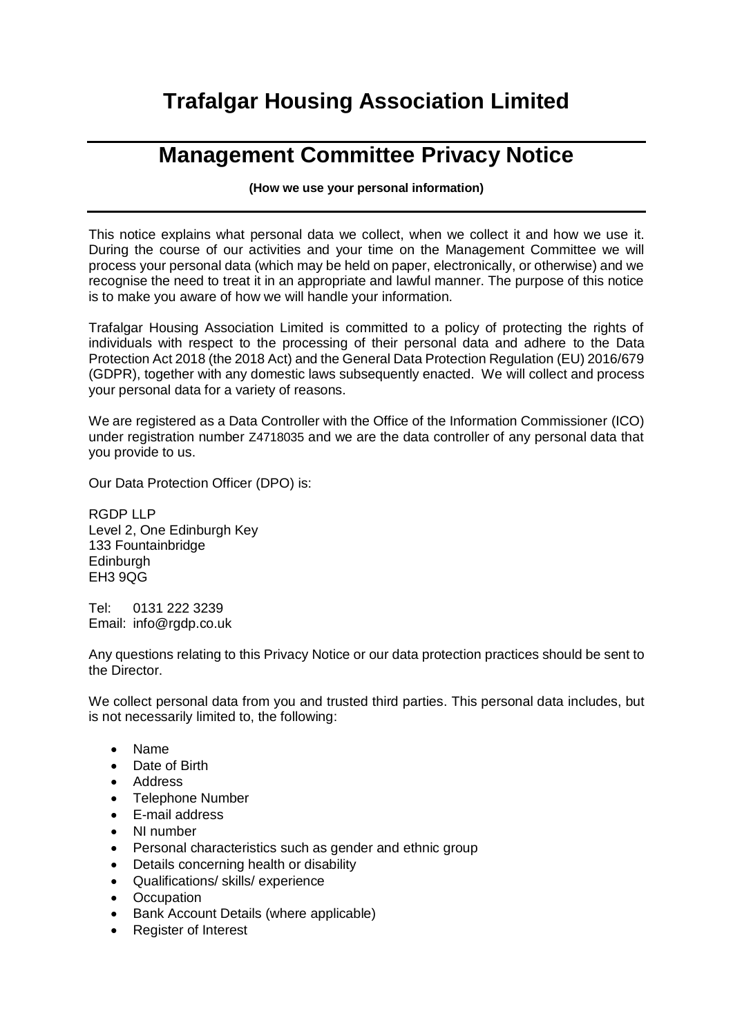## **Trafalgar Housing Association Limited**

## **Management Committee Privacy Notice**

**(How we use your personal information)**

This notice explains what personal data we collect, when we collect it and how we use it. During the course of our activities and your time on the Management Committee we will process your personal data (which may be held on paper, electronically, or otherwise) and we recognise the need to treat it in an appropriate and lawful manner. The purpose of this notice is to make you aware of how we will handle your information.

Trafalgar Housing Association Limited is committed to a policy of protecting the rights of individuals with respect to the processing of their personal data and adhere to the Data Protection Act 2018 (the 2018 Act) and the General Data Protection Regulation (EU) 2016/679 (GDPR), together with any domestic laws subsequently enacted. We will collect and process your personal data for a variety of reasons.

We are registered as a Data Controller with the Office of the Information Commissioner (ICO) under registration number Z4718035 and we are the data controller of any personal data that you provide to us.

Our Data Protection Officer (DPO) is:

RGDP LLP Level 2, One Edinburgh Key 133 Fountainbridge **Edinburgh** EH3 9QG

Tel: 0131 222 3239 Email: info@rgdp.co.uk

Any questions relating to this Privacy Notice or our data protection practices should be sent to the Director.

We collect personal data from you and trusted third parties. This personal data includes, but is not necessarily limited to, the following:

- Name
- Date of Birth
- Address
- Telephone Number
- E-mail address
- NI number
- Personal characteristics such as gender and ethnic group
- Details concerning health or disability
- Qualifications/ skills/ experience
- Occupation
- Bank Account Details (where applicable)
- Register of Interest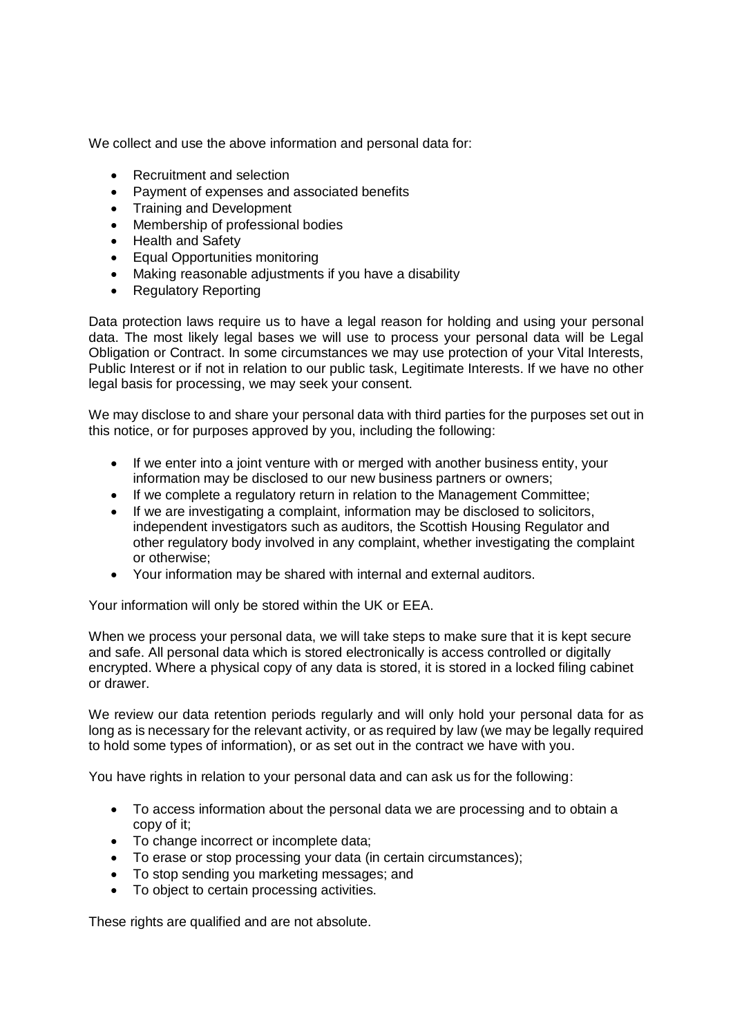We collect and use the above information and personal data for:

- Recruitment and selection
- Payment of expenses and associated benefits
- Training and Development
- Membership of professional bodies
- Health and Safety
- Equal Opportunities monitoring
- Making reasonable adjustments if you have a disability
- Regulatory Reporting

Data protection laws require us to have a legal reason for holding and using your personal data. The most likely legal bases we will use to process your personal data will be Legal Obligation or Contract. In some circumstances we may use protection of your Vital Interests, Public Interest or if not in relation to our public task, Legitimate Interests. If we have no other legal basis for processing, we may seek your consent.

We may disclose to and share your personal data with third parties for the purposes set out in this notice, or for purposes approved by you, including the following:

- If we enter into a joint venture with or merged with another business entity, your information may be disclosed to our new business partners or owners;
- If we complete a regulatory return in relation to the Management Committee:
- $\bullet$  If we are investigating a complaint, information may be disclosed to solicitors, independent investigators such as auditors, the Scottish Housing Regulator and other regulatory body involved in any complaint, whether investigating the complaint or otherwise;
- Your information may be shared with internal and external auditors.

Your information will only be stored within the UK or EEA.

When we process your personal data, we will take steps to make sure that it is kept secure and safe. All personal data which is stored electronically is access controlled or digitally encrypted. Where a physical copy of any data is stored, it is stored in a locked filing cabinet or drawer.

We review our data retention periods regularly and will only hold your personal data for as long as is necessary for the relevant activity, or as required by law (we may be legally required to hold some types of information), or as set out in the contract we have with you.

You have rights in relation to your personal data and can ask us for the following:

- To access information about the personal data we are processing and to obtain a copy of it;
- To change incorrect or incomplete data;
- To erase or stop processing your data (in certain circumstances);
- To stop sending you marketing messages; and
- To object to certain processing activities.

These rights are qualified and are not absolute.